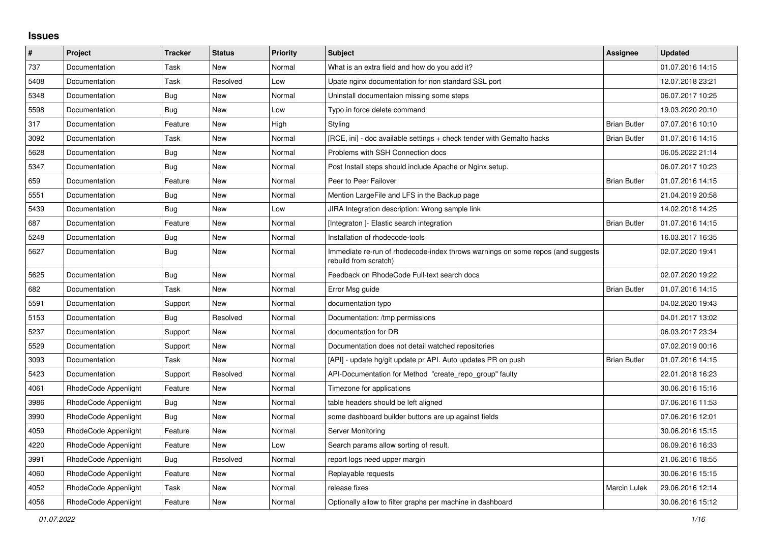## **Issues**

| $\sharp$ | Project              | Tracker    | <b>Status</b> | <b>Priority</b> | <b>Subject</b>                                                                                           | Assignee            | <b>Updated</b>   |
|----------|----------------------|------------|---------------|-----------------|----------------------------------------------------------------------------------------------------------|---------------------|------------------|
| 737      | Documentation        | Task       | New           | Normal          | What is an extra field and how do you add it?                                                            |                     | 01.07.2016 14:15 |
| 5408     | Documentation        | Task       | Resolved      | Low             | Upate nginx documentation for non standard SSL port                                                      |                     | 12.07.2018 23:21 |
| 5348     | Documentation        | Bug        | New           | Normal          | Uninstall documentaion missing some steps                                                                |                     | 06.07.2017 10:25 |
| 5598     | Documentation        | Bug        | New           | Low             | Typo in force delete command                                                                             |                     | 19.03.2020 20:10 |
| 317      | Documentation        | Feature    | New           | High            | Styling                                                                                                  | <b>Brian Butler</b> | 07.07.2016 10:10 |
| 3092     | Documentation        | Task       | <b>New</b>    | Normal          | [RCE, ini] - doc available settings + check tender with Gemalto hacks                                    | <b>Brian Butler</b> | 01.07.2016 14:15 |
| 5628     | Documentation        | Bug        | New           | Normal          | Problems with SSH Connection docs                                                                        |                     | 06.05.2022 21:14 |
| 5347     | Documentation        | <b>Bug</b> | New           | Normal          | Post Install steps should include Apache or Nginx setup.                                                 |                     | 06.07.2017 10:23 |
| 659      | Documentation        | Feature    | New           | Normal          | Peer to Peer Failover                                                                                    | <b>Brian Butler</b> | 01.07.2016 14:15 |
| 5551     | Documentation        | Bug        | New           | Normal          | Mention LargeFile and LFS in the Backup page                                                             |                     | 21.04.2019 20:58 |
| 5439     | Documentation        | Bug        | <b>New</b>    | Low             | JIRA Integration description: Wrong sample link                                                          |                     | 14.02.2018 14:25 |
| 687      | Documentation        | Feature    | <b>New</b>    | Normal          | [Integraton ]- Elastic search integration                                                                | <b>Brian Butler</b> | 01.07.2016 14:15 |
| 5248     | Documentation        | Bug        | New           | Normal          | Installation of rhodecode-tools                                                                          |                     | 16.03.2017 16:35 |
| 5627     | Documentation        | <b>Bug</b> | New           | Normal          | Immediate re-run of rhodecode-index throws warnings on some repos (and suggests<br>rebuild from scratch) |                     | 02.07.2020 19:41 |
| 5625     | Documentation        | <b>Bug</b> | New           | Normal          | Feedback on RhodeCode Full-text search docs                                                              |                     | 02.07.2020 19:22 |
| 682      | Documentation        | Task       | New           | Normal          | Error Msg guide                                                                                          | <b>Brian Butler</b> | 01.07.2016 14:15 |
| 5591     | Documentation        | Support    | New           | Normal          | documentation typo                                                                                       |                     | 04.02.2020 19:43 |
| 5153     | Documentation        | Bug        | Resolved      | Normal          | Documentation: /tmp permissions                                                                          |                     | 04.01.2017 13:02 |
| 5237     | Documentation        | Support    | New           | Normal          | documentation for DR                                                                                     |                     | 06.03.2017 23:34 |
| 5529     | Documentation        | Support    | New           | Normal          | Documentation does not detail watched repositories                                                       |                     | 07.02.2019 00:16 |
| 3093     | Documentation        | Task       | New           | Normal          | [API] - update hg/git update pr API. Auto updates PR on push                                             | <b>Brian Butler</b> | 01.07.2016 14:15 |
| 5423     | Documentation        | Support    | Resolved      | Normal          | API-Documentation for Method "create repo group" faulty                                                  |                     | 22.01.2018 16:23 |
| 4061     | RhodeCode Appenlight | Feature    | New           | Normal          | Timezone for applications                                                                                |                     | 30.06.2016 15:16 |
| 3986     | RhodeCode Appenlight | Bug        | New           | Normal          | table headers should be left aligned                                                                     |                     | 07.06.2016 11:53 |
| 3990     | RhodeCode Appenlight | Bug        | New           | Normal          | some dashboard builder buttons are up against fields                                                     |                     | 07.06.2016 12:01 |
| 4059     | RhodeCode Appenlight | Feature    | New           | Normal          | Server Monitoring                                                                                        |                     | 30.06.2016 15:15 |
| 4220     | RhodeCode Appenlight | Feature    | <b>New</b>    | Low             | Search params allow sorting of result.                                                                   |                     | 06.09.2016 16:33 |
| 3991     | RhodeCode Appenlight | Bug        | Resolved      | Normal          | report logs need upper margin                                                                            |                     | 21.06.2016 18:55 |
| 4060     | RhodeCode Appenlight | Feature    | New           | Normal          | Replayable requests                                                                                      |                     | 30.06.2016 15:15 |
| 4052     | RhodeCode Appenlight | Task       | New           | Normal          | release fixes                                                                                            | Marcin Lulek        | 29.06.2016 12:14 |
| 4056     | RhodeCode Appenlight | Feature    | New           | Normal          | Optionally allow to filter graphs per machine in dashboard                                               |                     | 30.06.2016 15:12 |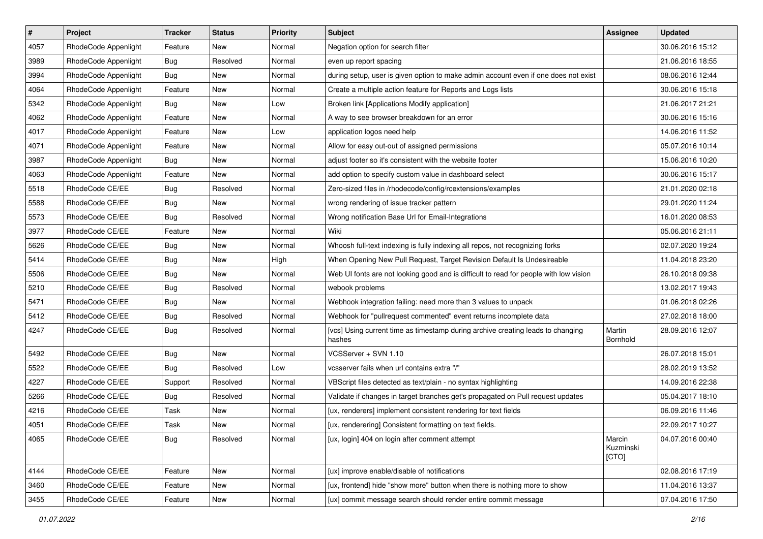| $\pmb{\#}$ | Project              | <b>Tracker</b> | <b>Status</b> | <b>Priority</b> | Subject                                                                                   | <b>Assignee</b>              | <b>Updated</b>   |
|------------|----------------------|----------------|---------------|-----------------|-------------------------------------------------------------------------------------------|------------------------------|------------------|
| 4057       | RhodeCode Appenlight | Feature        | <b>New</b>    | Normal          | Negation option for search filter                                                         |                              | 30.06.2016 15:12 |
| 3989       | RhodeCode Appenlight | Bug            | Resolved      | Normal          | even up report spacing                                                                    |                              | 21.06.2016 18:55 |
| 3994       | RhodeCode Appenlight | Bug            | New           | Normal          | during setup, user is given option to make admin account even if one does not exist       |                              | 08.06.2016 12:44 |
| 4064       | RhodeCode Appenlight | Feature        | New           | Normal          | Create a multiple action feature for Reports and Logs lists                               |                              | 30.06.2016 15:18 |
| 5342       | RhodeCode Appenlight | <b>Bug</b>     | <b>New</b>    | Low             | Broken link [Applications Modify application]                                             |                              | 21.06.2017 21:21 |
| 4062       | RhodeCode Appenlight | Feature        | New           | Normal          | A way to see browser breakdown for an error                                               |                              | 30.06.2016 15:16 |
| 4017       | RhodeCode Appenlight | Feature        | New           | Low             | application logos need help                                                               |                              | 14.06.2016 11:52 |
| 4071       | RhodeCode Appenlight | Feature        | New           | Normal          | Allow for easy out-out of assigned permissions                                            |                              | 05.07.2016 10:14 |
| 3987       | RhodeCode Appenlight | Bug            | New           | Normal          | adjust footer so it's consistent with the website footer                                  |                              | 15.06.2016 10:20 |
| 4063       | RhodeCode Appenlight | Feature        | New           | Normal          | add option to specify custom value in dashboard select                                    |                              | 30.06.2016 15:17 |
| 5518       | RhodeCode CE/EE      | Bug            | Resolved      | Normal          | Zero-sized files in /rhodecode/config/rcextensions/examples                               |                              | 21.01.2020 02:18 |
| 5588       | RhodeCode CE/EE      | Bug            | New           | Normal          | wrong rendering of issue tracker pattern                                                  |                              | 29.01.2020 11:24 |
| 5573       | RhodeCode CE/EE      | Bug            | Resolved      | Normal          | Wrong notification Base Url for Email-Integrations                                        |                              | 16.01.2020 08:53 |
| 3977       | RhodeCode CE/EE      | Feature        | New           | Normal          | Wiki                                                                                      |                              | 05.06.2016 21:11 |
| 5626       | RhodeCode CE/EE      | Bug            | New           | Normal          | Whoosh full-text indexing is fully indexing all repos, not recognizing forks              |                              | 02.07.2020 19:24 |
| 5414       | RhodeCode CE/EE      | Bug            | New           | High            | When Opening New Pull Request, Target Revision Default Is Undesireable                    |                              | 11.04.2018 23:20 |
| 5506       | RhodeCode CE/EE      | <b>Bug</b>     | New           | Normal          | Web UI fonts are not looking good and is difficult to read for people with low vision     |                              | 26.10.2018 09:38 |
| 5210       | RhodeCode CE/EE      | Bug            | Resolved      | Normal          | webook problems                                                                           |                              | 13.02.2017 19:43 |
| 5471       | RhodeCode CE/EE      | Bug            | New           | Normal          | Webhook integration failing: need more than 3 values to unpack                            |                              | 01.06.2018 02:26 |
| 5412       | RhodeCode CE/EE      | Bug            | Resolved      | Normal          | Webhook for "pullrequest commented" event returns incomplete data                         |                              | 27.02.2018 18:00 |
| 4247       | RhodeCode CE/EE      | Bug            | Resolved      | Normal          | [vcs] Using current time as timestamp during archive creating leads to changing<br>hashes | Martin<br>Bornhold           | 28.09.2016 12:07 |
| 5492       | RhodeCode CE/EE      | Bug            | <b>New</b>    | Normal          | VCSServer + SVN 1.10                                                                      |                              | 26.07.2018 15:01 |
| 5522       | RhodeCode CE/EE      | Bug            | Resolved      | Low             | vcsserver fails when url contains extra "/"                                               |                              | 28.02.2019 13:52 |
| 4227       | RhodeCode CE/EE      | Support        | Resolved      | Normal          | VBScript files detected as text/plain - no syntax highlighting                            |                              | 14.09.2016 22:38 |
| 5266       | RhodeCode CE/EE      | Bug            | Resolved      | Normal          | Validate if changes in target branches get's propagated on Pull request updates           |                              | 05.04.2017 18:10 |
| 4216       | RhodeCode CE/EE      | Task           | New           | Normal          | [ux, renderers] implement consistent rendering for text fields                            |                              | 06.09.2016 11:46 |
| 4051       | RhodeCode CE/EE      | Task           | New           | Normal          | [ux, renderering] Consistent formatting on text fields.                                   |                              | 22.09.2017 10:27 |
| 4065       | RhodeCode CE/EE      | <b>Bug</b>     | Resolved      | Normal          | [ux, login] 404 on login after comment attempt                                            | Marcin<br>Kuzminski<br>[CTO] | 04.07.2016 00:40 |
| 4144       | RhodeCode CE/EE      | Feature        | New           | Normal          | [ux] improve enable/disable of notifications                                              |                              | 02.08.2016 17:19 |
| 3460       | RhodeCode CE/EE      | Feature        | New           | Normal          | [ux, frontend] hide "show more" button when there is nothing more to show                 |                              | 11.04.2016 13:37 |
| 3455       | RhodeCode CE/EE      | Feature        | New           | Normal          | [ux] commit message search should render entire commit message                            |                              | 07.04.2016 17:50 |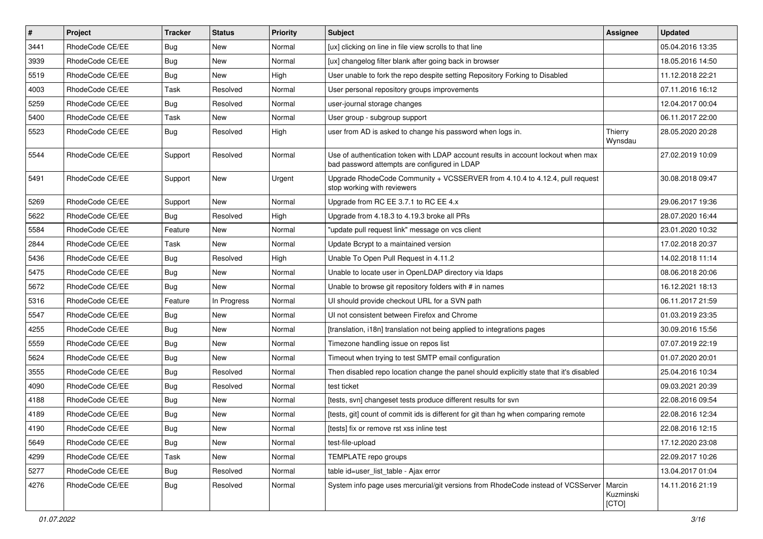| $\sharp$ | Project         | <b>Tracker</b> | <b>Status</b> | <b>Priority</b> | <b>Subject</b>                                                                                                                    | <b>Assignee</b>    | <b>Updated</b>   |
|----------|-----------------|----------------|---------------|-----------------|-----------------------------------------------------------------------------------------------------------------------------------|--------------------|------------------|
| 3441     | RhodeCode CE/EE | <b>Bug</b>     | New           | Normal          | [ux] clicking on line in file view scrolls to that line                                                                           |                    | 05.04.2016 13:35 |
| 3939     | RhodeCode CE/EE | Bug            | New           | Normal          | [ux] changelog filter blank after going back in browser                                                                           |                    | 18.05.2016 14:50 |
| 5519     | RhodeCode CE/EE | <b>Bug</b>     | New           | High            | User unable to fork the repo despite setting Repository Forking to Disabled                                                       |                    | 11.12.2018 22:21 |
| 4003     | RhodeCode CE/EE | Task           | Resolved      | Normal          | User personal repository groups improvements                                                                                      |                    | 07.11.2016 16:12 |
| 5259     | RhodeCode CE/EE | Bug            | Resolved      | Normal          | user-journal storage changes                                                                                                      |                    | 12.04.2017 00:04 |
| 5400     | RhodeCode CE/EE | Task           | New           | Normal          | User group - subgroup support                                                                                                     |                    | 06.11.2017 22:00 |
| 5523     | RhodeCode CE/EE | Bug            | Resolved      | High            | user from AD is asked to change his password when logs in.                                                                        | Thierry<br>Wynsdau | 28.05.2020 20:28 |
| 5544     | RhodeCode CE/EE | Support        | Resolved      | Normal          | Use of authentication token with LDAP account results in account lockout when max<br>bad password attempts are configured in LDAP |                    | 27.02.2019 10:09 |
| 5491     | RhodeCode CE/EE | Support        | New           | Urgent          | Upgrade RhodeCode Community + VCSSERVER from 4.10.4 to 4.12.4, pull request<br>stop working with reviewers                        |                    | 30.08.2018 09:47 |
| 5269     | RhodeCode CE/EE | Support        | <b>New</b>    | Normal          | Upgrade from RC EE 3.7.1 to RC EE 4.x                                                                                             |                    | 29.06.2017 19:36 |
| 5622     | RhodeCode CE/EE | Bug            | Resolved      | High            | Upgrade from 4.18.3 to 4.19.3 broke all PRs                                                                                       |                    | 28.07.2020 16:44 |
| 5584     | RhodeCode CE/EE | Feature        | New           | Normal          | "update pull request link" message on vcs client                                                                                  |                    | 23.01.2020 10:32 |
| 2844     | RhodeCode CE/EE | Task           | New           | Normal          | Update Bcrypt to a maintained version                                                                                             |                    | 17.02.2018 20:37 |
| 5436     | RhodeCode CE/EE | Bug            | Resolved      | High            | Unable To Open Pull Request in 4.11.2                                                                                             |                    | 14.02.2018 11:14 |
| 5475     | RhodeCode CE/EE | Bug            | New           | Normal          | Unable to locate user in OpenLDAP directory via Idaps                                                                             |                    | 08.06.2018 20:06 |
| 5672     | RhodeCode CE/EE | Bug            | New           | Normal          | Unable to browse git repository folders with # in names                                                                           |                    | 16.12.2021 18:13 |
| 5316     | RhodeCode CE/EE | Feature        | In Progress   | Normal          | UI should provide checkout URL for a SVN path                                                                                     |                    | 06.11.2017 21:59 |
| 5547     | RhodeCode CE/EE | Bug            | New           | Normal          | UI not consistent between Firefox and Chrome                                                                                      |                    | 01.03.2019 23:35 |
| 4255     | RhodeCode CE/EE | Bug            | New           | Normal          | [translation, i18n] translation not being applied to integrations pages                                                           |                    | 30.09.2016 15:56 |
| 5559     | RhodeCode CE/EE | Bug            | New           | Normal          | Timezone handling issue on repos list                                                                                             |                    | 07.07.2019 22:19 |
| 5624     | RhodeCode CE/EE | <b>Bug</b>     | New           | Normal          | Timeout when trying to test SMTP email configuration                                                                              |                    | 01.07.2020 20:01 |
| 3555     | RhodeCode CE/EE | <b>Bug</b>     | Resolved      | Normal          | Then disabled repo location change the panel should explicitly state that it's disabled                                           |                    | 25.04.2016 10:34 |
| 4090     | RhodeCode CE/EE | Bug            | Resolved      | Normal          | test ticket                                                                                                                       |                    | 09.03.2021 20:39 |
| 4188     | RhodeCode CE/EE | Bug            | New           | Normal          | [tests, svn] changeset tests produce different results for svn                                                                    |                    | 22.08.2016 09:54 |
| 4189     | RhodeCode CE/EE | <b>Bug</b>     | New           | Normal          | [tests, git] count of commit ids is different for git than hg when comparing remote                                               |                    | 22.08.2016 12:34 |
| 4190     | RhodeCode CE/EE | Bug            | New           | Normal          | [tests] fix or remove rst xss inline test                                                                                         |                    | 22.08.2016 12:15 |
| 5649     | RhodeCode CE/EE | Bug            | New           | Normal          | test-file-upload                                                                                                                  |                    | 17.12.2020 23:08 |
| 4299     | RhodeCode CE/EE | Task           | New           | Normal          | TEMPLATE repo groups                                                                                                              |                    | 22.09.2017 10:26 |
| 5277     | RhodeCode CE/EE | Bug            | Resolved      | Normal          | table id=user list table - Ajax error                                                                                             |                    | 13.04.2017 01:04 |
| 4276     | RhodeCode CE/EE | <b>Bug</b>     | Resolved      | Normal          | System info page uses mercurial/git versions from RhodeCode instead of VCSServer   Marcin                                         | Kuzminski<br>[CTO] | 14.11.2016 21:19 |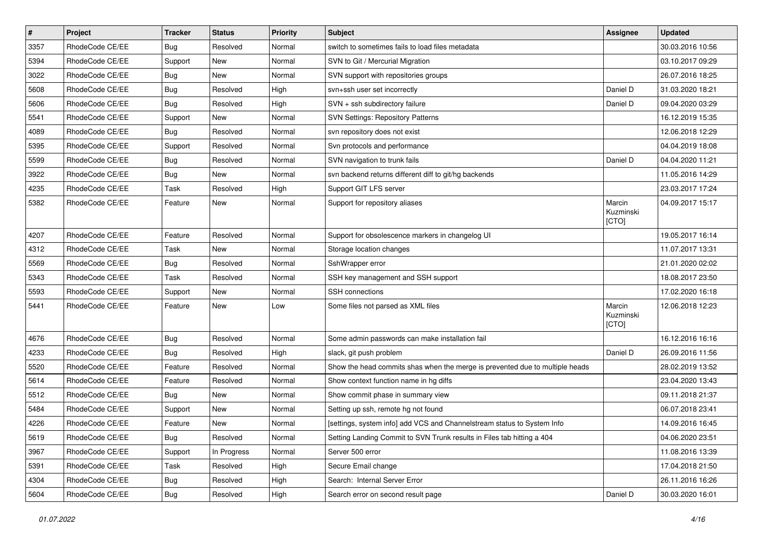| $\pmb{\#}$ | Project         | <b>Tracker</b> | <b>Status</b> | <b>Priority</b> | <b>Subject</b>                                                               | <b>Assignee</b>              | <b>Updated</b>   |
|------------|-----------------|----------------|---------------|-----------------|------------------------------------------------------------------------------|------------------------------|------------------|
| 3357       | RhodeCode CE/EE | Bug            | Resolved      | Normal          | switch to sometimes fails to load files metadata                             |                              | 30.03.2016 10:56 |
| 5394       | RhodeCode CE/EE | Support        | <b>New</b>    | Normal          | SVN to Git / Mercurial Migration                                             |                              | 03.10.2017 09:29 |
| 3022       | RhodeCode CE/EE | Bug            | New           | Normal          | SVN support with repositories groups                                         |                              | 26.07.2016 18:25 |
| 5608       | RhodeCode CE/EE | Bug            | Resolved      | High            | svn+ssh user set incorrectly                                                 | Daniel D                     | 31.03.2020 18:21 |
| 5606       | RhodeCode CE/EE | Bug            | Resolved      | High            | SVN + ssh subdirectory failure                                               | Daniel D                     | 09.04.2020 03:29 |
| 5541       | RhodeCode CE/EE | Support        | <b>New</b>    | Normal          | <b>SVN Settings: Repository Patterns</b>                                     |                              | 16.12.2019 15:35 |
| 4089       | RhodeCode CE/EE | Bug            | Resolved      | Normal          | svn repository does not exist                                                |                              | 12.06.2018 12:29 |
| 5395       | RhodeCode CE/EE | Support        | Resolved      | Normal          | Svn protocols and performance                                                |                              | 04.04.2019 18:08 |
| 5599       | RhodeCode CE/EE | <b>Bug</b>     | Resolved      | Normal          | SVN navigation to trunk fails                                                | Daniel D                     | 04.04.2020 11:21 |
| 3922       | RhodeCode CE/EE | Bug            | <b>New</b>    | Normal          | svn backend returns different diff to git/hg backends                        |                              | 11.05.2016 14:29 |
| 4235       | RhodeCode CE/EE | Task           | Resolved      | High            | Support GIT LFS server                                                       |                              | 23.03.2017 17:24 |
| 5382       | RhodeCode CE/EE | Feature        | New           | Normal          | Support for repository aliases                                               | Marcin<br>Kuzminski<br>[CTO] | 04.09.2017 15:17 |
| 4207       | RhodeCode CE/EE | Feature        | Resolved      | Normal          | Support for obsolescence markers in changelog UI                             |                              | 19.05.2017 16:14 |
| 4312       | RhodeCode CE/EE | Task           | New           | Normal          | Storage location changes                                                     |                              | 11.07.2017 13:31 |
| 5569       | RhodeCode CE/EE | Bug            | Resolved      | Normal          | SshWrapper error                                                             |                              | 21.01.2020 02:02 |
| 5343       | RhodeCode CE/EE | Task           | Resolved      | Normal          | SSH key management and SSH support                                           |                              | 18.08.2017 23:50 |
| 5593       | RhodeCode CE/EE | Support        | New           | Normal          | <b>SSH</b> connections                                                       |                              | 17.02.2020 16:18 |
| 5441       | RhodeCode CE/EE | Feature        | New           | Low             | Some files not parsed as XML files                                           | Marcin<br>Kuzminski<br>[CTO] | 12.06.2018 12:23 |
| 4676       | RhodeCode CE/EE | Bug            | Resolved      | Normal          | Some admin passwords can make installation fail                              |                              | 16.12.2016 16:16 |
| 4233       | RhodeCode CE/EE | Bug            | Resolved      | High            | slack, git push problem                                                      | Daniel D                     | 26.09.2016 11:56 |
| 5520       | RhodeCode CE/EE | Feature        | Resolved      | Normal          | Show the head commits shas when the merge is prevented due to multiple heads |                              | 28.02.2019 13:52 |
| 5614       | RhodeCode CE/EE | Feature        | Resolved      | Normal          | Show context function name in hg diffs                                       |                              | 23.04.2020 13:43 |
| 5512       | RhodeCode CE/EE | Bug            | New           | Normal          | Show commit phase in summary view                                            |                              | 09.11.2018 21:37 |
| 5484       | RhodeCode CE/EE | Support        | New           | Normal          | Setting up ssh, remote hg not found                                          |                              | 06.07.2018 23:41 |
| 4226       | RhodeCode CE/EE | Feature        | <b>New</b>    | Normal          | [settings, system info] add VCS and Channelstream status to System Info      |                              | 14.09.2016 16:45 |
| 5619       | RhodeCode CE/EE | <b>Bug</b>     | Resolved      | Normal          | Setting Landing Commit to SVN Trunk results in Files tab hitting a 404       |                              | 04.06.2020 23:51 |
| 3967       | RhodeCode CE/EE | Support        | In Progress   | Normal          | Server 500 error                                                             |                              | 11.08.2016 13:39 |
| 5391       | RhodeCode CE/EE | Task           | Resolved      | High            | Secure Email change                                                          |                              | 17.04.2018 21:50 |
| 4304       | RhodeCode CE/EE | <b>Bug</b>     | Resolved      | High            | Search: Internal Server Error                                                |                              | 26.11.2016 16:26 |
| 5604       | RhodeCode CE/EE | <b>Bug</b>     | Resolved      | High            | Search error on second result page                                           | Daniel D                     | 30.03.2020 16:01 |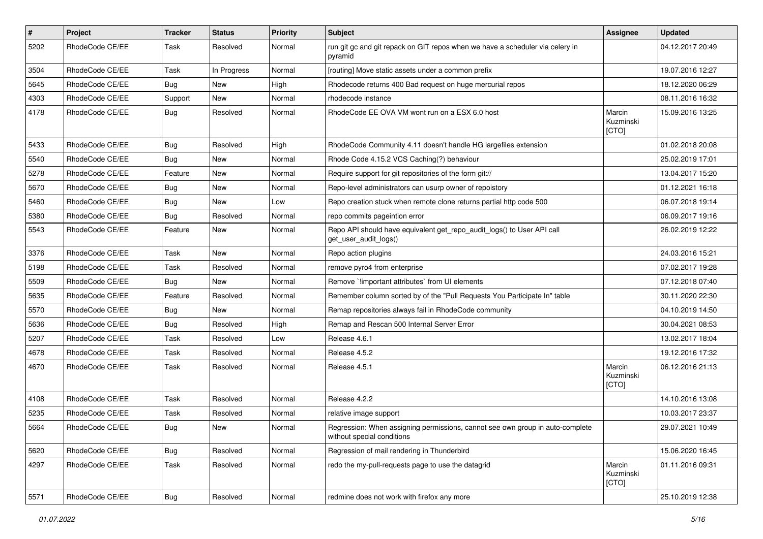| $\pmb{\#}$ | Project         | <b>Tracker</b> | <b>Status</b> | <b>Priority</b> | <b>Subject</b>                                                                                              | <b>Assignee</b>              | <b>Updated</b>   |
|------------|-----------------|----------------|---------------|-----------------|-------------------------------------------------------------------------------------------------------------|------------------------------|------------------|
| 5202       | RhodeCode CE/EE | Task           | Resolved      | Normal          | run git gc and git repack on GIT repos when we have a scheduler via celery in<br>pyramid                    |                              | 04.12.2017 20:49 |
| 3504       | RhodeCode CE/EE | Task           | In Progress   | Normal          | [routing] Move static assets under a common prefix                                                          |                              | 19.07.2016 12:27 |
| 5645       | RhodeCode CE/EE | Bug            | <b>New</b>    | High            | Rhodecode returns 400 Bad request on huge mercurial repos                                                   |                              | 18.12.2020 06:29 |
| 4303       | RhodeCode CE/EE | Support        | <b>New</b>    | Normal          | rhodecode instance                                                                                          |                              | 08.11.2016 16:32 |
| 4178       | RhodeCode CE/EE | Bug            | Resolved      | Normal          | RhodeCode EE OVA VM wont run on a ESX 6.0 host                                                              | Marcin<br>Kuzminski<br>[CTO] | 15.09.2016 13:25 |
| 5433       | RhodeCode CE/EE | Bug            | Resolved      | High            | RhodeCode Community 4.11 doesn't handle HG largefiles extension                                             |                              | 01.02.2018 20:08 |
| 5540       | RhodeCode CE/EE | Bug            | <b>New</b>    | Normal          | Rhode Code 4.15.2 VCS Caching(?) behaviour                                                                  |                              | 25.02.2019 17:01 |
| 5278       | RhodeCode CE/EE | Feature        | New           | Normal          | Require support for git repositories of the form git://                                                     |                              | 13.04.2017 15:20 |
| 5670       | RhodeCode CE/EE | Bug            | New           | Normal          | Repo-level administrators can usurp owner of repoistory                                                     |                              | 01.12.2021 16:18 |
| 5460       | RhodeCode CE/EE | Bug            | New           | Low             | Repo creation stuck when remote clone returns partial http code 500                                         |                              | 06.07.2018 19:14 |
| 5380       | RhodeCode CE/EE | Bug            | Resolved      | Normal          | repo commits pageintion error                                                                               |                              | 06.09.2017 19:16 |
| 5543       | RhodeCode CE/EE | Feature        | <b>New</b>    | Normal          | Repo API should have equivalent get_repo_audit_logs() to User API call<br>get_user_audit_logs()             |                              | 26.02.2019 12:22 |
| 3376       | RhodeCode CE/EE | Task           | New           | Normal          | Repo action plugins                                                                                         |                              | 24.03.2016 15:21 |
| 5198       | RhodeCode CE/EE | Task           | Resolved      | Normal          | remove pyro4 from enterprise                                                                                |                              | 07.02.2017 19:28 |
| 5509       | RhodeCode CE/EE | Bug            | <b>New</b>    | Normal          | Remove `!important attributes` from UI elements                                                             |                              | 07.12.2018 07:40 |
| 5635       | RhodeCode CE/EE | Feature        | Resolved      | Normal          | Remember column sorted by of the "Pull Requests You Participate In" table                                   |                              | 30.11.2020 22:30 |
| 5570       | RhodeCode CE/EE | Bug            | <b>New</b>    | Normal          | Remap repositories always fail in RhodeCode community                                                       |                              | 04.10.2019 14:50 |
| 5636       | RhodeCode CE/EE | Bug            | Resolved      | High            | Remap and Rescan 500 Internal Server Error                                                                  |                              | 30.04.2021 08:53 |
| 5207       | RhodeCode CE/EE | Task           | Resolved      | Low             | Release 4.6.1                                                                                               |                              | 13.02.2017 18:04 |
| 4678       | RhodeCode CE/EE | Task           | Resolved      | Normal          | Release 4.5.2                                                                                               |                              | 19.12.2016 17:32 |
| 4670       | RhodeCode CE/EE | Task           | Resolved      | Normal          | Release 4.5.1                                                                                               | Marcin<br>Kuzminski<br>[CTO] | 06.12.2016 21:13 |
| 4108       | RhodeCode CE/EE | Task           | Resolved      | Normal          | Release 4.2.2                                                                                               |                              | 14.10.2016 13:08 |
| 5235       | RhodeCode CE/EE | Task           | Resolved      | Normal          | relative image support                                                                                      |                              | 10.03.2017 23:37 |
| 5664       | RhodeCode CE/EE | Bug            | New           | Normal          | Regression: When assigning permissions, cannot see own group in auto-complete<br>without special conditions |                              | 29.07.2021 10:49 |
| 5620       | RhodeCode CE/EE | Bug            | Resolved      | Normal          | Regression of mail rendering in Thunderbird                                                                 |                              | 15.06.2020 16:45 |
| 4297       | RhodeCode CE/EE | Task           | Resolved      | Normal          | redo the my-pull-requests page to use the datagrid                                                          | Marcin<br>Kuzminski<br>[CTO] | 01.11.2016 09:31 |
| 5571       | RhodeCode CE/EE | <b>Bug</b>     | Resolved      | Normal          | redmine does not work with firefox any more                                                                 |                              | 25.10.2019 12:38 |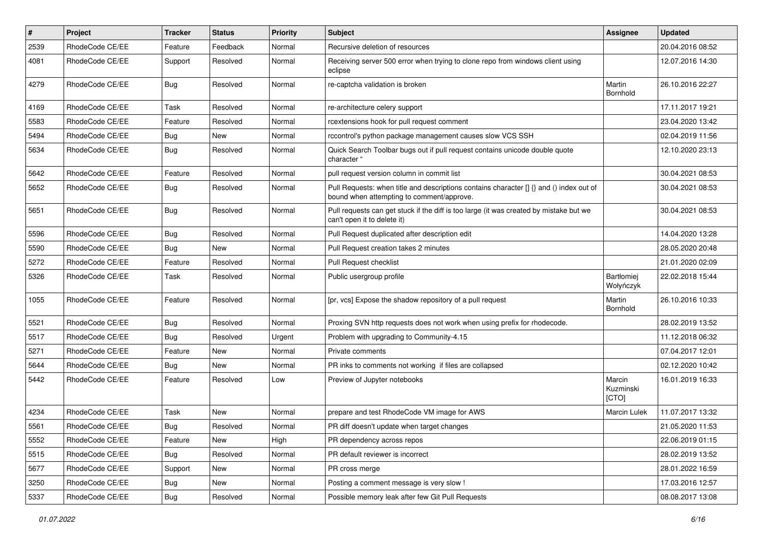| $\pmb{\#}$ | Project         | <b>Tracker</b> | <b>Status</b> | <b>Priority</b> | Subject                                                                                                                              | Assignee                     | <b>Updated</b>   |
|------------|-----------------|----------------|---------------|-----------------|--------------------------------------------------------------------------------------------------------------------------------------|------------------------------|------------------|
| 2539       | RhodeCode CE/EE | Feature        | Feedback      | Normal          | Recursive deletion of resources                                                                                                      |                              | 20.04.2016 08:52 |
| 4081       | RhodeCode CE/EE | Support        | Resolved      | Normal          | Receiving server 500 error when trying to clone repo from windows client using<br>eclipse                                            |                              | 12.07.2016 14:30 |
| 4279       | RhodeCode CE/EE | Bug            | Resolved      | Normal          | re-captcha validation is broken                                                                                                      | Martin<br><b>Bornhold</b>    | 26.10.2016 22:27 |
| 4169       | RhodeCode CE/EE | Task           | Resolved      | Normal          | re-architecture celery support                                                                                                       |                              | 17.11.2017 19:21 |
| 5583       | RhodeCode CE/EE | Feature        | Resolved      | Normal          | rcextensions hook for pull request comment                                                                                           |                              | 23.04.2020 13:42 |
| 5494       | RhodeCode CE/EE | Bug            | <b>New</b>    | Normal          | rccontrol's python package management causes slow VCS SSH                                                                            |                              | 02.04.2019 11:56 |
| 5634       | RhodeCode CE/EE | Bug            | Resolved      | Normal          | Quick Search Toolbar bugs out if pull request contains unicode double quote<br>character "                                           |                              | 12.10.2020 23:13 |
| 5642       | RhodeCode CE/EE | Feature        | Resolved      | Normal          | pull request version column in commit list                                                                                           |                              | 30.04.2021 08:53 |
| 5652       | RhodeCode CE/EE | Bug            | Resolved      | Normal          | Pull Requests: when title and descriptions contains character [] {} and () index out of<br>bound when attempting to comment/approve. |                              | 30.04.2021 08:53 |
| 5651       | RhodeCode CE/EE | Bug            | Resolved      | Normal          | Pull requests can get stuck if the diff is too large (it was created by mistake but we<br>can't open it to delete it)                |                              | 30.04.2021 08:53 |
| 5596       | RhodeCode CE/EE | Bug            | Resolved      | Normal          | Pull Request duplicated after description edit                                                                                       |                              | 14.04.2020 13:28 |
| 5590       | RhodeCode CE/EE | <b>Bug</b>     | <b>New</b>    | Normal          | Pull Request creation takes 2 minutes                                                                                                |                              | 28.05.2020 20:48 |
| 5272       | RhodeCode CE/EE | Feature        | Resolved      | Normal          | Pull Request checklist                                                                                                               |                              | 21.01.2020 02:09 |
| 5326       | RhodeCode CE/EE | Task           | Resolved      | Normal          | Public usergroup profile                                                                                                             | Bartłomiej<br>Wołyńczyk      | 22.02.2018 15:44 |
| 1055       | RhodeCode CE/EE | Feature        | Resolved      | Normal          | [pr, vcs] Expose the shadow repository of a pull request                                                                             | Martin<br><b>Bornhold</b>    | 26.10.2016 10:33 |
| 5521       | RhodeCode CE/EE | Bug            | Resolved      | Normal          | Proxing SVN http requests does not work when using prefix for rhodecode.                                                             |                              | 28.02.2019 13:52 |
| 5517       | RhodeCode CE/EE | Bug            | Resolved      | Urgent          | Problem with upgrading to Community-4.15                                                                                             |                              | 11.12.2018 06:32 |
| 5271       | RhodeCode CE/EE | Feature        | New           | Normal          | Private comments                                                                                                                     |                              | 07.04.2017 12:01 |
| 5644       | RhodeCode CE/EE | Bug            | New           | Normal          | PR inks to comments not working if files are collapsed                                                                               |                              | 02.12.2020 10:42 |
| 5442       | RhodeCode CE/EE | Feature        | Resolved      | Low             | Preview of Jupyter notebooks                                                                                                         | Marcin<br>Kuzminski<br>[CTO] | 16.01.2019 16:33 |
| 4234       | RhodeCode CE/EE | Task           | New           | Normal          | prepare and test RhodeCode VM image for AWS                                                                                          | Marcin Lulek                 | 11.07.2017 13:32 |
| 5561       | RhodeCode CE/EE | Bug            | Resolved      | Normal          | PR diff doesn't update when target changes                                                                                           |                              | 21.05.2020 11:53 |
| 5552       | RhodeCode CE/EE | Feature        | New           | High            | PR dependency across repos                                                                                                           |                              | 22.06.2019 01:15 |
| 5515       | RhodeCode CE/EE | Bug            | Resolved      | Normal          | PR default reviewer is incorrect                                                                                                     |                              | 28.02.2019 13:52 |
| 5677       | RhodeCode CE/EE | Support        | New           | Normal          | PR cross merge                                                                                                                       |                              | 28.01.2022 16:59 |
| 3250       | RhodeCode CE/EE | Bug            | New           | Normal          | Posting a comment message is very slow !                                                                                             |                              | 17.03.2016 12:57 |
| 5337       | RhodeCode CE/EE | <b>Bug</b>     | Resolved      | Normal          | Possible memory leak after few Git Pull Requests                                                                                     |                              | 08.08.2017 13:08 |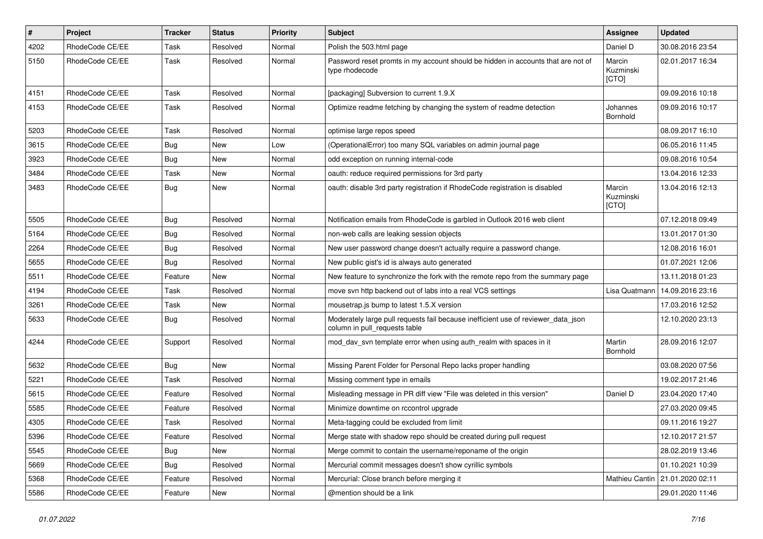| $\pmb{\#}$ | Project         | <b>Tracker</b> | <b>Status</b> | Priority | Subject                                                                                                            | Assignee                     | <b>Updated</b>   |
|------------|-----------------|----------------|---------------|----------|--------------------------------------------------------------------------------------------------------------------|------------------------------|------------------|
| 4202       | RhodeCode CE/EE | Task           | Resolved      | Normal   | Polish the 503.html page                                                                                           | Daniel D                     | 30.08.2016 23:54 |
| 5150       | RhodeCode CE/EE | Task           | Resolved      | Normal   | Password reset promts in my account should be hidden in accounts that are not of<br>type rhodecode                 | Marcin<br>Kuzminski<br>[CTO] | 02.01.2017 16:34 |
| 4151       | RhodeCode CE/EE | Task           | Resolved      | Normal   | [packaging] Subversion to current 1.9.X                                                                            |                              | 09.09.2016 10:18 |
| 4153       | RhodeCode CE/EE | Task           | Resolved      | Normal   | Optimize readme fetching by changing the system of readme detection                                                | Johannes<br>Bornhold         | 09.09.2016 10:17 |
| 5203       | RhodeCode CE/EE | Task           | Resolved      | Normal   | optimise large repos speed                                                                                         |                              | 08.09.2017 16:10 |
| 3615       | RhodeCode CE/EE | <b>Bug</b>     | New           | Low      | (OperationalError) too many SQL variables on admin journal page                                                    |                              | 06.05.2016 11:45 |
| 3923       | RhodeCode CE/EE | Bug            | New           | Normal   | odd exception on running internal-code                                                                             |                              | 09.08.2016 10:54 |
| 3484       | RhodeCode CE/EE | Task           | New           | Normal   | oauth: reduce required permissions for 3rd party                                                                   |                              | 13.04.2016 12:33 |
| 3483       | RhodeCode CE/EE | Bug            | New           | Normal   | oauth: disable 3rd party registration if RhodeCode registration is disabled                                        | Marcin<br>Kuzminski<br>[CTO] | 13.04.2016 12:13 |
| 5505       | RhodeCode CE/EE | Bug            | Resolved      | Normal   | Notification emails from RhodeCode is garbled in Outlook 2016 web client                                           |                              | 07.12.2018 09:49 |
| 5164       | RhodeCode CE/EE | Bug            | Resolved      | Normal   | non-web calls are leaking session objects                                                                          |                              | 13.01.2017 01:30 |
| 2264       | RhodeCode CE/EE | <b>Bug</b>     | Resolved      | Normal   | New user password change doesn't actually require a password change.                                               |                              | 12.08.2016 16:01 |
| 5655       | RhodeCode CE/EE | <b>Bug</b>     | Resolved      | Normal   | New public gist's id is always auto generated                                                                      |                              | 01.07.2021 12:06 |
| 5511       | RhodeCode CE/EE | Feature        | <b>New</b>    | Normal   | New feature to synchronize the fork with the remote repo from the summary page                                     |                              | 13.11.2018 01:23 |
| 4194       | RhodeCode CE/EE | Task           | Resolved      | Normal   | move svn http backend out of labs into a real VCS settings                                                         | Lisa Quatmann                | 14.09.2016 23:16 |
| 3261       | RhodeCode CE/EE | Task           | <b>New</b>    | Normal   | mousetrap.js bump to latest 1.5.X version                                                                          |                              | 17.03.2016 12:52 |
| 5633       | RhodeCode CE/EE | <b>Bug</b>     | Resolved      | Normal   | Moderately large pull requests fail because inefficient use of reviewer_data_json<br>column in pull requests table |                              | 12.10.2020 23:13 |
| 4244       | RhodeCode CE/EE | Support        | Resolved      | Normal   | mod day syn template error when using auth realm with spaces in it                                                 | Martin<br>Bornhold           | 28.09.2016 12:07 |
| 5632       | RhodeCode CE/EE | <b>Bug</b>     | <b>New</b>    | Normal   | Missing Parent Folder for Personal Repo lacks proper handling                                                      |                              | 03.08.2020 07:56 |
| 5221       | RhodeCode CE/EE | Task           | Resolved      | Normal   | Missing comment type in emails                                                                                     |                              | 19.02.2017 21:46 |
| 5615       | RhodeCode CE/EE | Feature        | Resolved      | Normal   | Misleading message in PR diff view "File was deleted in this version"                                              | Daniel D                     | 23.04.2020 17:40 |
| 5585       | RhodeCode CE/EE | Feature        | Resolved      | Normal   | Minimize downtime on rccontrol upgrade                                                                             |                              | 27.03.2020 09:45 |
| 4305       | RhodeCode CE/EE | Task           | Resolved      | Normal   | Meta-tagging could be excluded from limit                                                                          |                              | 09.11.2016 19:27 |
| 5396       | RhodeCode CE/EE | Feature        | Resolved      | Normal   | Merge state with shadow repo should be created during pull request                                                 |                              | 12.10.2017 21:57 |
| 5545       | RhodeCode CE/EE | <b>Bug</b>     | New           | Normal   | Merge commit to contain the username/reponame of the origin                                                        |                              | 28.02.2019 13:46 |
| 5669       | RhodeCode CE/EE | <b>Bug</b>     | Resolved      | Normal   | Mercurial commit messages doesn't show cyrillic symbols                                                            |                              | 01.10.2021 10:39 |
| 5368       | RhodeCode CE/EE | Feature        | Resolved      | Normal   | Mercurial: Close branch before merging it                                                                          | Mathieu Cantin               | 21.01.2020 02:11 |
| 5586       | RhodeCode CE/EE | Feature        | New           | Normal   | @mention should be a link                                                                                          |                              | 29.01.2020 11:46 |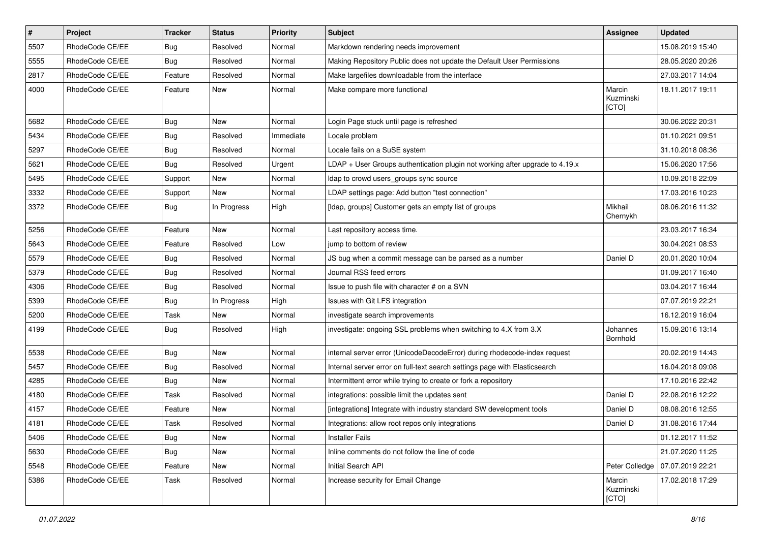| $\sharp$ | Project         | <b>Tracker</b> | <b>Status</b> | <b>Priority</b> | <b>Subject</b>                                                               | Assignee                     | <b>Updated</b>   |
|----------|-----------------|----------------|---------------|-----------------|------------------------------------------------------------------------------|------------------------------|------------------|
| 5507     | RhodeCode CE/EE | <b>Bug</b>     | Resolved      | Normal          | Markdown rendering needs improvement                                         |                              | 15.08.2019 15:40 |
| 5555     | RhodeCode CE/EE | Bug            | Resolved      | Normal          | Making Repository Public does not update the Default User Permissions        |                              | 28.05.2020 20:26 |
| 2817     | RhodeCode CE/EE | Feature        | Resolved      | Normal          | Make largefiles downloadable from the interface                              |                              | 27.03.2017 14:04 |
| 4000     | RhodeCode CE/EE | Feature        | New           | Normal          | Make compare more functional                                                 | Marcin<br>Kuzminski<br>[CTO] | 18.11.2017 19:11 |
| 5682     | RhodeCode CE/EE | Bug            | New           | Normal          | Login Page stuck until page is refreshed                                     |                              | 30.06.2022 20:31 |
| 5434     | RhodeCode CE/EE | Bug            | Resolved      | Immediate       | Locale problem                                                               |                              | 01.10.2021 09:51 |
| 5297     | RhodeCode CE/EE | Bug            | Resolved      | Normal          | Locale fails on a SuSE system                                                |                              | 31.10.2018 08:36 |
| 5621     | RhodeCode CE/EE | Bug            | Resolved      | Urgent          | LDAP + User Groups authentication plugin not working after upgrade to 4.19.x |                              | 15.06.2020 17:56 |
| 5495     | RhodeCode CE/EE | Support        | New           | Normal          | Idap to crowd users groups sync source                                       |                              | 10.09.2018 22:09 |
| 3332     | RhodeCode CE/EE | Support        | New           | Normal          | LDAP settings page: Add button "test connection"                             |                              | 17.03.2016 10:23 |
| 3372     | RhodeCode CE/EE | Bug            | In Progress   | High            | [Idap, groups] Customer gets an empty list of groups                         | Mikhail<br>Chernykh          | 08.06.2016 11:32 |
| 5256     | RhodeCode CE/EE | Feature        | New           | Normal          | Last repository access time.                                                 |                              | 23.03.2017 16:34 |
| 5643     | RhodeCode CE/EE | Feature        | Resolved      | Low             | jump to bottom of review                                                     |                              | 30.04.2021 08:53 |
| 5579     | RhodeCode CE/EE | Bug            | Resolved      | Normal          | JS bug when a commit message can be parsed as a number                       | Daniel D                     | 20.01.2020 10:04 |
| 5379     | RhodeCode CE/EE | Bug            | Resolved      | Normal          | Journal RSS feed errors                                                      |                              | 01.09.2017 16:40 |
| 4306     | RhodeCode CE/EE | Bug            | Resolved      | Normal          | Issue to push file with character # on a SVN                                 |                              | 03.04.2017 16:44 |
| 5399     | RhodeCode CE/EE | Bug            | In Progress   | High            | Issues with Git LFS integration                                              |                              | 07.07.2019 22:21 |
| 5200     | RhodeCode CE/EE | Task           | <b>New</b>    | Normal          | investigate search improvements                                              |                              | 16.12.2019 16:04 |
| 4199     | RhodeCode CE/EE | Bug            | Resolved      | High            | investigate: ongoing SSL problems when switching to 4.X from 3.X             | Johannes<br>Bornhold         | 15.09.2016 13:14 |
| 5538     | RhodeCode CE/EE | Bug            | <b>New</b>    | Normal          | internal server error (UnicodeDecodeError) during rhodecode-index request    |                              | 20.02.2019 14:43 |
| 5457     | RhodeCode CE/EE | Bug            | Resolved      | Normal          | Internal server error on full-text search settings page with Elasticsearch   |                              | 16.04.2018 09:08 |
| 4285     | RhodeCode CE/EE | Bug            | <b>New</b>    | Normal          | Intermittent error while trying to create or fork a repository               |                              | 17.10.2016 22:42 |
| 4180     | RhodeCode CE/EE | Task           | Resolved      | Normal          | integrations: possible limit the updates sent                                | Daniel D                     | 22.08.2016 12:22 |
| 4157     | RhodeCode CE/EE | Feature        | New           | Normal          | [integrations] Integrate with industry standard SW development tools         | Daniel D                     | 08.08.2016 12:55 |
| 4181     | RhodeCode CE/EE | Task           | Resolved      | Normal          | Integrations: allow root repos only integrations                             | Daniel D                     | 31.08.2016 17:44 |
| 5406     | RhodeCode CE/EE | Bug            | New           | Normal          | <b>Installer Fails</b>                                                       |                              | 01.12.2017 11:52 |
| 5630     | RhodeCode CE/EE | Bug            | <b>New</b>    | Normal          | Inline comments do not follow the line of code                               |                              | 21.07.2020 11:25 |
| 5548     | RhodeCode CE/EE | Feature        | New           | Normal          | Initial Search API                                                           | Peter Colledge               | 07.07.2019 22:21 |
| 5386     | RhodeCode CE/EE | Task           | Resolved      | Normal          | Increase security for Email Change                                           | Marcin<br>Kuzminski<br>[CTO] | 17.02.2018 17:29 |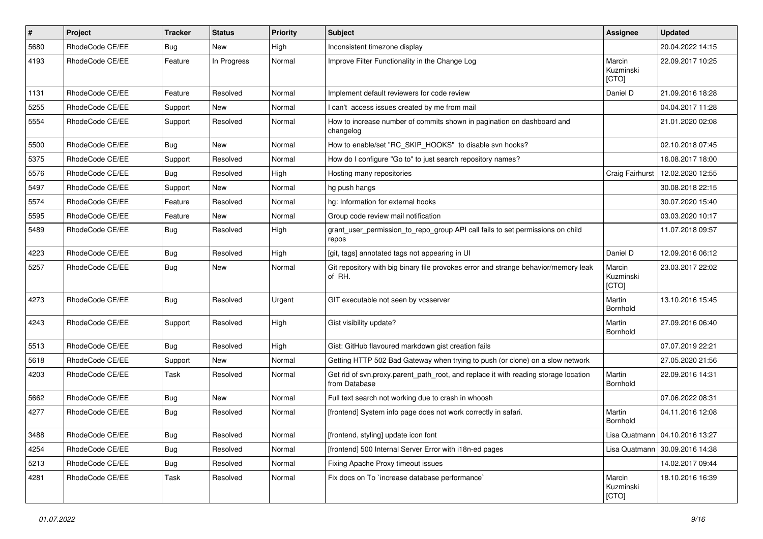| $\vert$ # | Project         | Tracker    | <b>Status</b> | <b>Priority</b> | <b>Subject</b>                                                                                       | Assignee                     | <b>Updated</b>                   |
|-----------|-----------------|------------|---------------|-----------------|------------------------------------------------------------------------------------------------------|------------------------------|----------------------------------|
| 5680      | RhodeCode CE/EE | <b>Bug</b> | New           | High            | Inconsistent timezone display                                                                        |                              | 20.04.2022 14:15                 |
| 4193      | RhodeCode CE/EE | Feature    | In Progress   | Normal          | Improve Filter Functionality in the Change Log                                                       | Marcin<br>Kuzminski<br>[CTO] | 22.09.2017 10:25                 |
| 1131      | RhodeCode CE/EE | Feature    | Resolved      | Normal          | Implement default reviewers for code review                                                          | Daniel D                     | 21.09.2016 18:28                 |
| 5255      | RhodeCode CE/EE | Support    | New           | Normal          | I can't access issues created by me from mail                                                        |                              | 04.04.2017 11:28                 |
| 5554      | RhodeCode CE/EE | Support    | Resolved      | Normal          | How to increase number of commits shown in pagination on dashboard and<br>changelog                  |                              | 21.01.2020 02:08                 |
| 5500      | RhodeCode CE/EE | Bug        | New           | Normal          | How to enable/set "RC SKIP HOOKS" to disable svn hooks?                                              |                              | 02.10.2018 07:45                 |
| 5375      | RhodeCode CE/EE | Support    | Resolved      | Normal          | How do I configure "Go to" to just search repository names?                                          |                              | 16.08.2017 18:00                 |
| 5576      | RhodeCode CE/EE | Bug        | Resolved      | High            | Hosting many repositories                                                                            | Craig Fairhurst              | 12.02.2020 12:55                 |
| 5497      | RhodeCode CE/EE | Support    | New           | Normal          | hg push hangs                                                                                        |                              | 30.08.2018 22:15                 |
| 5574      | RhodeCode CE/EE | Feature    | Resolved      | Normal          | hg: Information for external hooks                                                                   |                              | 30.07.2020 15:40                 |
| 5595      | RhodeCode CE/EE | Feature    | New           | Normal          | Group code review mail notification                                                                  |                              | 03.03.2020 10:17                 |
| 5489      | RhodeCode CE/EE | Bug        | Resolved      | High            | grant_user_permission_to_repo_group API call fails to set permissions on child<br>repos              |                              | 11.07.2018 09:57                 |
| 4223      | RhodeCode CE/EE | Bug        | Resolved      | High            | [git, tags] annotated tags not appearing in UI                                                       | Daniel D                     | 12.09.2016 06:12                 |
| 5257      | RhodeCode CE/EE | <b>Bug</b> | New           | Normal          | Git repository with big binary file provokes error and strange behavior/memory leak<br>of RH.        | Marcin<br>Kuzminski<br>[CTO] | 23.03.2017 22:02                 |
| 4273      | RhodeCode CE/EE | <b>Bug</b> | Resolved      | Urgent          | GIT executable not seen by vcsserver                                                                 | Martin<br>Bornhold           | 13.10.2016 15:45                 |
| 4243      | RhodeCode CE/EE | Support    | Resolved      | High            | Gist visibility update?                                                                              | Martin<br>Bornhold           | 27.09.2016 06:40                 |
| 5513      | RhodeCode CE/EE | Bug        | Resolved      | High            | Gist: GitHub flavoured markdown gist creation fails                                                  |                              | 07.07.2019 22:21                 |
| 5618      | RhodeCode CE/EE | Support    | New           | Normal          | Getting HTTP 502 Bad Gateway when trying to push (or clone) on a slow network                        |                              | 27.05.2020 21:56                 |
| 4203      | RhodeCode CE/EE | Task       | Resolved      | Normal          | Get rid of svn.proxy.parent_path_root, and replace it with reading storage location<br>from Database | Martin<br>Bornhold           | 22.09.2016 14:31                 |
| 5662      | RhodeCode CE/EE | <b>Bug</b> | New           | Normal          | Full text search not working due to crash in whoosh                                                  |                              | 07.06.2022 08:31                 |
| 4277      | RhodeCode CE/EE | Bug        | Resolved      | Normal          | [frontend] System info page does not work correctly in safari.                                       | Martin<br>Bornhold           | 04.11.2016 12:08                 |
| 3488      | RhodeCode CE/EE | Bug        | Resolved      | Normal          | [frontend, styling] update icon font                                                                 |                              | Lisa Quatmann   04.10.2016 13:27 |
| 4254      | RhodeCode CE/EE | Bug        | Resolved      | Normal          | [frontend] 500 Internal Server Error with i18n-ed pages                                              | Lisa Quatmann                | 30.09.2016 14:38                 |
| 5213      | RhodeCode CE/EE | Bug        | Resolved      | Normal          | Fixing Apache Proxy timeout issues                                                                   |                              | 14.02.2017 09:44                 |
| 4281      | RhodeCode CE/EE | Task       | Resolved      | Normal          | Fix docs on To `increase database performance`                                                       | Marcin<br>Kuzminski<br>[CTO] | 18.10.2016 16:39                 |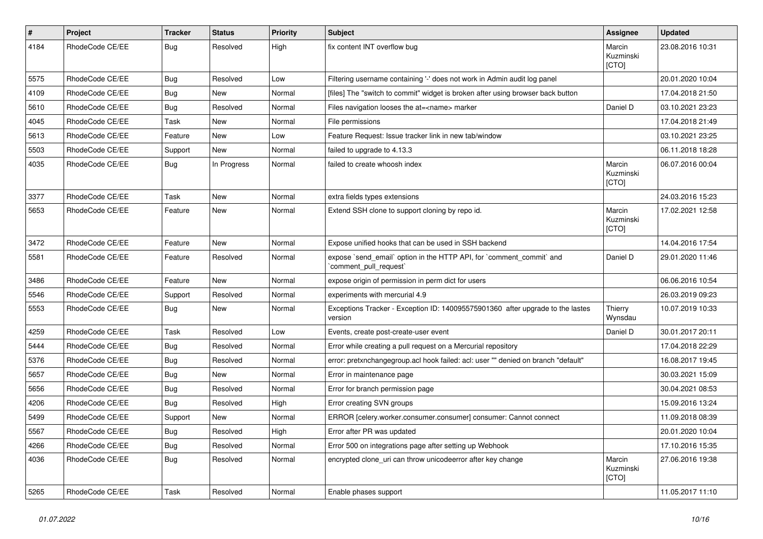| $\pmb{\#}$ | Project         | <b>Tracker</b> | <b>Status</b> | <b>Priority</b> | <b>Subject</b>                                                                               | Assignee                     | <b>Updated</b>   |
|------------|-----------------|----------------|---------------|-----------------|----------------------------------------------------------------------------------------------|------------------------------|------------------|
| 4184       | RhodeCode CE/EE | Bug            | Resolved      | High            | fix content INT overflow bug                                                                 | Marcin<br>Kuzminski<br>[CTO] | 23.08.2016 10:31 |
| 5575       | RhodeCode CE/EE | <b>Bug</b>     | Resolved      | Low             | Filtering username containing '-' does not work in Admin audit log panel                     |                              | 20.01.2020 10:04 |
| 4109       | RhodeCode CE/EE | <b>Bug</b>     | <b>New</b>    | Normal          | [files] The "switch to commit" widget is broken after using browser back button              |                              | 17.04.2018 21:50 |
| 5610       | RhodeCode CE/EE | <b>Bug</b>     | Resolved      | Normal          | Files navigation looses the at= <name> marker</name>                                         | Daniel D                     | 03.10.2021 23:23 |
| 4045       | RhodeCode CE/EE | Task           | New           | Normal          | File permissions                                                                             |                              | 17.04.2018 21:49 |
| 5613       | RhodeCode CE/EE | Feature        | New           | Low             | Feature Request: Issue tracker link in new tab/window                                        |                              | 03.10.2021 23:25 |
| 5503       | RhodeCode CE/EE | Support        | New           | Normal          | failed to upgrade to 4.13.3                                                                  |                              | 06.11.2018 18:28 |
| 4035       | RhodeCode CE/EE | <b>Bug</b>     | In Progress   | Normal          | failed to create whoosh index                                                                | Marcin<br>Kuzminski<br>[CTO] | 06.07.2016 00:04 |
| 3377       | RhodeCode CE/EE | Task           | New           | Normal          | extra fields types extensions                                                                |                              | 24.03.2016 15:23 |
| 5653       | RhodeCode CE/EE | Feature        | <b>New</b>    | Normal          | Extend SSH clone to support cloning by repo id.                                              | Marcin<br>Kuzminski<br>[CTO] | 17.02.2021 12:58 |
| 3472       | RhodeCode CE/EE | Feature        | <b>New</b>    | Normal          | Expose unified hooks that can be used in SSH backend                                         |                              | 14.04.2016 17:54 |
| 5581       | RhodeCode CE/EE | Feature        | Resolved      | Normal          | expose `send_email` option in the HTTP API, for `comment_commit` and<br>comment pull request | Daniel D                     | 29.01.2020 11:46 |
| 3486       | RhodeCode CE/EE | Feature        | <b>New</b>    | Normal          | expose origin of permission in perm dict for users                                           |                              | 06.06.2016 10:54 |
| 5546       | RhodeCode CE/EE | Support        | Resolved      | Normal          | experiments with mercurial 4.9                                                               |                              | 26.03.2019 09:23 |
| 5553       | RhodeCode CE/EE | Bug            | New           | Normal          | Exceptions Tracker - Exception ID: 140095575901360 after upgrade to the lastes<br>version    | Thierry<br>Wynsdau           | 10.07.2019 10:33 |
| 4259       | RhodeCode CE/EE | Task           | Resolved      | Low             | Events, create post-create-user event                                                        | Daniel D                     | 30.01.2017 20:11 |
| 5444       | RhodeCode CE/EE | Bug            | Resolved      | Normal          | Error while creating a pull request on a Mercurial repository                                |                              | 17.04.2018 22:29 |
| 5376       | RhodeCode CE/EE | Bug            | Resolved      | Normal          | error: pretxnchangegroup.acl hook failed: acl: user "" denied on branch "default"            |                              | 16.08.2017 19:45 |
| 5657       | RhodeCode CE/EE | <b>Bug</b>     | New           | Normal          | Error in maintenance page                                                                    |                              | 30.03.2021 15:09 |
| 5656       | RhodeCode CE/EE | Bug            | Resolved      | Normal          | Error for branch permission page                                                             |                              | 30.04.2021 08:53 |
| 4206       | RhodeCode CE/EE | Bug            | Resolved      | High            | Error creating SVN groups                                                                    |                              | 15.09.2016 13:24 |
| 5499       | RhodeCode CE/EE | Support        | <b>New</b>    | Normal          | ERROR [celery.worker.consumer.consumer] consumer: Cannot connect                             |                              | 11.09.2018 08:39 |
| 5567       | RhodeCode CE/EE | Bug            | Resolved      | High            | Error after PR was updated                                                                   |                              | 20.01.2020 10:04 |
| 4266       | RhodeCode CE/EE | Bug            | Resolved      | Normal          | Error 500 on integrations page after setting up Webhook                                      |                              | 17.10.2016 15:35 |
| 4036       | RhodeCode CE/EE | Bug            | Resolved      | Normal          | encrypted clone uri can throw unicodeerror after key change                                  | Marcin<br>Kuzminski<br>[CTO] | 27.06.2016 19:38 |
| 5265       | RhodeCode CE/EE | Task           | Resolved      | Normal          | Enable phases support                                                                        |                              | 11.05.2017 11:10 |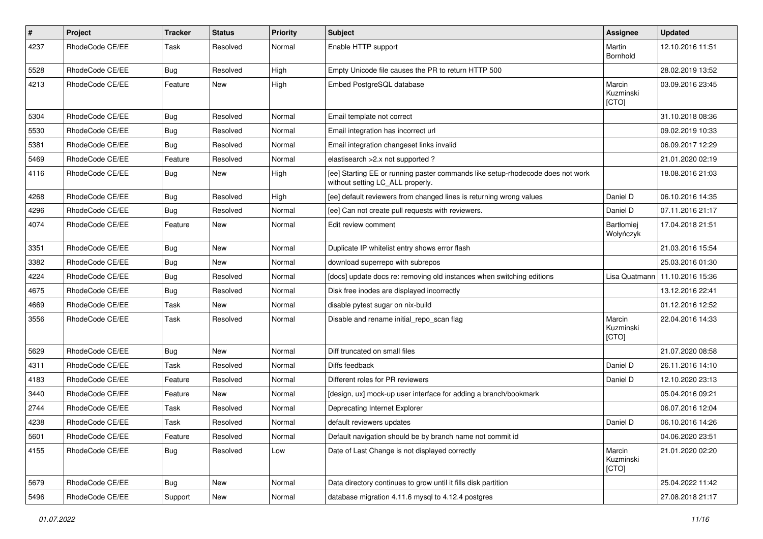| $\pmb{\#}$ | Project         | <b>Tracker</b> | <b>Status</b> | <b>Priority</b> | <b>Subject</b>                                                                                                     | Assignee                     | <b>Updated</b>   |
|------------|-----------------|----------------|---------------|-----------------|--------------------------------------------------------------------------------------------------------------------|------------------------------|------------------|
| 4237       | RhodeCode CE/EE | Task           | Resolved      | Normal          | Enable HTTP support                                                                                                | Martin<br>Bornhold           | 12.10.2016 11:51 |
| 5528       | RhodeCode CE/EE | Bug            | Resolved      | High            | Empty Unicode file causes the PR to return HTTP 500                                                                |                              | 28.02.2019 13:52 |
| 4213       | RhodeCode CE/EE | Feature        | <b>New</b>    | High            | Embed PostgreSQL database                                                                                          | Marcin<br>Kuzminski<br>[CTO] | 03.09.2016 23:45 |
| 5304       | RhodeCode CE/EE | Bug            | Resolved      | Normal          | Email template not correct                                                                                         |                              | 31.10.2018 08:36 |
| 5530       | RhodeCode CE/EE | Bug            | Resolved      | Normal          | Email integration has incorrect url                                                                                |                              | 09.02.2019 10:33 |
| 5381       | RhodeCode CE/EE | Bug            | Resolved      | Normal          | Email integration changeset links invalid                                                                          |                              | 06.09.2017 12:29 |
| 5469       | RhodeCode CE/EE | Feature        | Resolved      | Normal          | elastisearch > 2.x not supported ?                                                                                 |                              | 21.01.2020 02:19 |
| 4116       | RhodeCode CE/EE | Bug            | New           | High            | [ee] Starting EE or running paster commands like setup-rhodecode does not work<br>without setting LC_ALL properly. |                              | 18.08.2016 21:03 |
| 4268       | RhodeCode CE/EE | Bug            | Resolved      | High            | [ee] default reviewers from changed lines is returning wrong values                                                | Daniel D                     | 06.10.2016 14:35 |
| 4296       | RhodeCode CE/EE | Bug            | Resolved      | Normal          | [ee] Can not create pull requests with reviewers.                                                                  | Daniel D                     | 07.11.2016 21:17 |
| 4074       | RhodeCode CE/EE | Feature        | <b>New</b>    | Normal          | Edit review comment                                                                                                | Bartłomiej<br>Wołyńczyk      | 17.04.2018 21:51 |
| 3351       | RhodeCode CE/EE | <b>Bug</b>     | <b>New</b>    | Normal          | Duplicate IP whitelist entry shows error flash                                                                     |                              | 21.03.2016 15:54 |
| 3382       | RhodeCode CE/EE | <b>Bug</b>     | <b>New</b>    | Normal          | download superrepo with subrepos                                                                                   |                              | 25.03.2016 01:30 |
| 4224       | RhodeCode CE/EE | Bug            | Resolved      | Normal          | [docs] update docs re: removing old instances when switching editions                                              | Lisa Quatmann                | 11.10.2016 15:36 |
| 4675       | RhodeCode CE/EE | Bug            | Resolved      | Normal          | Disk free inodes are displayed incorrectly                                                                         |                              | 13.12.2016 22:41 |
| 4669       | RhodeCode CE/EE | Task           | <b>New</b>    | Normal          | disable pytest sugar on nix-build                                                                                  |                              | 01.12.2016 12:52 |
| 3556       | RhodeCode CE/EE | Task           | Resolved      | Normal          | Disable and rename initial repo scan flag                                                                          | Marcin<br>Kuzminski<br>[CTO] | 22.04.2016 14:33 |
| 5629       | RhodeCode CE/EE | Bug            | <b>New</b>    | Normal          | Diff truncated on small files                                                                                      |                              | 21.07.2020 08:58 |
| 4311       | RhodeCode CE/EE | Task           | Resolved      | Normal          | Diffs feedback                                                                                                     | Daniel D                     | 26.11.2016 14:10 |
| 4183       | RhodeCode CE/EE | Feature        | Resolved      | Normal          | Different roles for PR reviewers                                                                                   | Daniel D                     | 12.10.2020 23:13 |
| 3440       | RhodeCode CE/EE | Feature        | <b>New</b>    | Normal          | [design, ux] mock-up user interface for adding a branch/bookmark                                                   |                              | 05.04.2016 09:21 |
| 2744       | RhodeCode CE/EE | Task           | Resolved      | Normal          | Deprecating Internet Explorer                                                                                      |                              | 06.07.2016 12:04 |
| 4238       | RhodeCode CE/EE | Task           | Resolved      | Normal          | default reviewers updates                                                                                          | Daniel D                     | 06.10.2016 14:26 |
| 5601       | RhodeCode CE/EE | Feature        | Resolved      | Normal          | Default navigation should be by branch name not commit id                                                          |                              | 04.06.2020 23:51 |
| 4155       | RhodeCode CE/EE | Bug            | Resolved      | Low             | Date of Last Change is not displayed correctly                                                                     | Marcin<br>Kuzminski<br>[CTO] | 21.01.2020 02:20 |
| 5679       | RhodeCode CE/EE | Bug            | New           | Normal          | Data directory continues to grow until it fills disk partition                                                     |                              | 25.04.2022 11:42 |
| 5496       | RhodeCode CE/EE | Support        | New           | Normal          | database migration 4.11.6 mysql to 4.12.4 postgres                                                                 |                              | 27.08.2018 21:17 |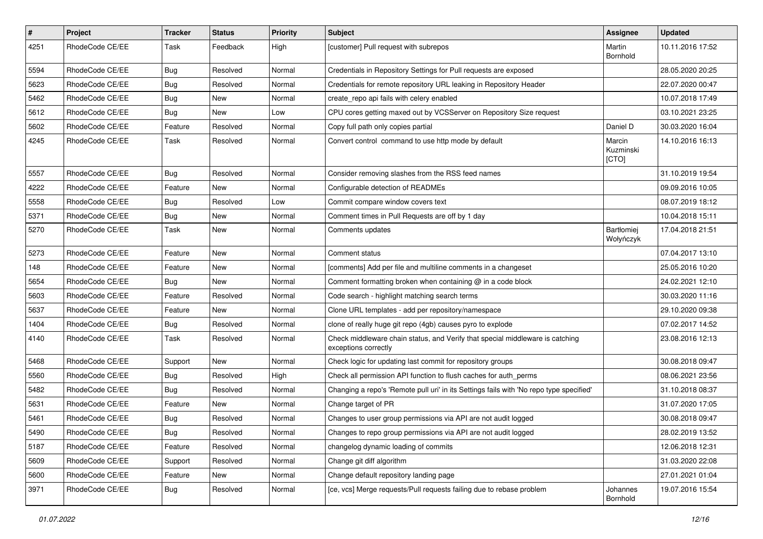| #    | Project         | <b>Tracker</b> | <b>Status</b> | <b>Priority</b> | <b>Subject</b>                                                                                        | Assignee                       | <b>Updated</b>   |
|------|-----------------|----------------|---------------|-----------------|-------------------------------------------------------------------------------------------------------|--------------------------------|------------------|
| 4251 | RhodeCode CE/EE | Task           | Feedback      | High            | [customer] Pull request with subrepos                                                                 | Martin<br>Bornhold             | 10.11.2016 17:52 |
| 5594 | RhodeCode CE/EE | <b>Bug</b>     | Resolved      | Normal          | Credentials in Repository Settings for Pull requests are exposed                                      |                                | 28.05.2020 20:25 |
| 5623 | RhodeCode CE/EE | Bug            | Resolved      | Normal          | Credentials for remote repository URL leaking in Repository Header                                    |                                | 22.07.2020 00:47 |
| 5462 | RhodeCode CE/EE | Bug            | <b>New</b>    | Normal          | create_repo api fails with celery enabled                                                             |                                | 10.07.2018 17:49 |
| 5612 | RhodeCode CE/EE | Bug            | New           | Low             | CPU cores getting maxed out by VCSServer on Repository Size request                                   |                                | 03.10.2021 23:25 |
| 5602 | RhodeCode CE/EE | Feature        | Resolved      | Normal          | Copy full path only copies partial                                                                    | Daniel D                       | 30.03.2020 16:04 |
| 4245 | RhodeCode CE/EE | Task           | Resolved      | Normal          | Convert control command to use http mode by default                                                   | Marcin<br>Kuzminski<br>[CTO]   | 14.10.2016 16:13 |
| 5557 | RhodeCode CE/EE | <b>Bug</b>     | Resolved      | Normal          | Consider removing slashes from the RSS feed names                                                     |                                | 31.10.2019 19:54 |
| 4222 | RhodeCode CE/EE | Feature        | New           | Normal          | Configurable detection of READMEs                                                                     |                                | 09.09.2016 10:05 |
| 5558 | RhodeCode CE/EE | Bug            | Resolved      | Low             | Commit compare window covers text                                                                     |                                | 08.07.2019 18:12 |
| 5371 | RhodeCode CE/EE | Bug            | New           | Normal          | Comment times in Pull Requests are off by 1 day                                                       |                                | 10.04.2018 15:11 |
| 5270 | RhodeCode CE/EE | Task           | New           | Normal          | Comments updates                                                                                      | <b>Bartłomiej</b><br>Wołyńczyk | 17.04.2018 21:51 |
| 5273 | RhodeCode CE/EE | Feature        | New           | Normal          | Comment status                                                                                        |                                | 07.04.2017 13:10 |
| 148  | RhodeCode CE/EE | Feature        | New           | Normal          | [comments] Add per file and multiline comments in a changeset                                         |                                | 25.05.2016 10:20 |
| 5654 | RhodeCode CE/EE | <b>Bug</b>     | New           | Normal          | Comment formatting broken when containing @ in a code block                                           |                                | 24.02.2021 12:10 |
| 5603 | RhodeCode CE/EE | Feature        | Resolved      | Normal          | Code search - highlight matching search terms                                                         |                                | 30.03.2020 11:16 |
| 5637 | RhodeCode CE/EE | Feature        | <b>New</b>    | Normal          | Clone URL templates - add per repository/namespace                                                    |                                | 29.10.2020 09:38 |
| 1404 | RhodeCode CE/EE | Bug            | Resolved      | Normal          | clone of really huge git repo (4gb) causes pyro to explode                                            |                                | 07.02.2017 14:52 |
| 4140 | RhodeCode CE/EE | Task           | Resolved      | Normal          | Check middleware chain status, and Verify that special middleware is catching<br>exceptions correctly |                                | 23.08.2016 12:13 |
| 5468 | RhodeCode CE/EE | Support        | New           | Normal          | Check logic for updating last commit for repository groups                                            |                                | 30.08.2018 09:47 |
| 5560 | RhodeCode CE/EE | Bug            | Resolved      | High            | Check all permission API function to flush caches for auth_perms                                      |                                | 08.06.2021 23:56 |
| 5482 | RhodeCode CE/EE | Bug            | Resolved      | Normal          | Changing a repo's 'Remote pull uri' in its Settings fails with 'No repo type specified'               |                                | 31.10.2018 08:37 |
| 5631 | RhodeCode CE/EE | Feature        | <b>New</b>    | Normal          | Change target of PR                                                                                   |                                | 31.07.2020 17:05 |
| 5461 | RhodeCode CE/EE | Bug            | Resolved      | Normal          | Changes to user group permissions via API are not audit logged                                        |                                | 30.08.2018 09:47 |
| 5490 | RhodeCode CE/EE | Bug            | Resolved      | Normal          | Changes to repo group permissions via API are not audit logged                                        |                                | 28.02.2019 13:52 |
| 5187 | RhodeCode CE/EE | Feature        | Resolved      | Normal          | changelog dynamic loading of commits                                                                  |                                | 12.06.2018 12:31 |
| 5609 | RhodeCode CE/EE | Support        | Resolved      | Normal          | Change git diff algorithm                                                                             |                                | 31.03.2020 22:08 |
| 5600 | RhodeCode CE/EE | Feature        | New           | Normal          | Change default repository landing page                                                                |                                | 27.01.2021 01:04 |
| 3971 | RhodeCode CE/EE | <b>Bug</b>     | Resolved      | Normal          | [ce, vcs] Merge requests/Pull requests failing due to rebase problem                                  | Johannes<br>Bornhold           | 19.07.2016 15:54 |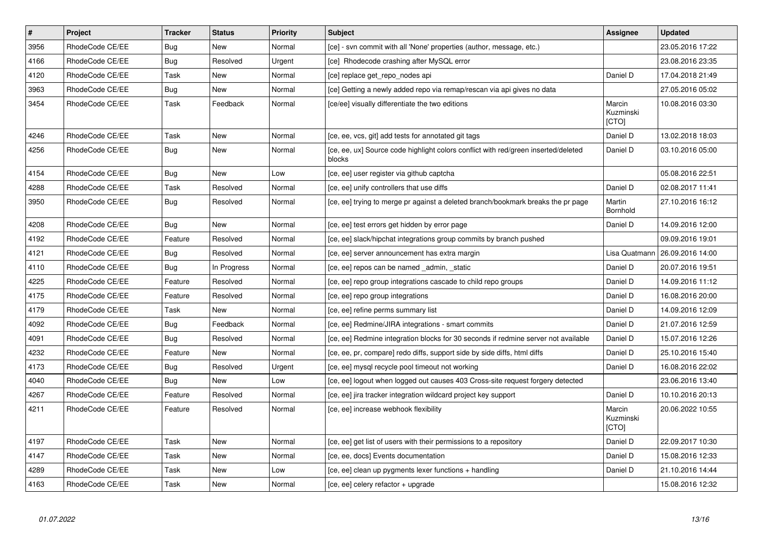| $\vert$ # | <b>Project</b>  | <b>Tracker</b> | <b>Status</b> | <b>Priority</b> | <b>Subject</b>                                                                               | Assignee                     | <b>Updated</b>   |
|-----------|-----------------|----------------|---------------|-----------------|----------------------------------------------------------------------------------------------|------------------------------|------------------|
| 3956      | RhodeCode CE/EE | Bug            | <b>New</b>    | Normal          | [ce] - svn commit with all 'None' properties (author, message, etc.)                         |                              | 23.05.2016 17:22 |
| 4166      | RhodeCode CE/EE | Bug            | Resolved      | Urgent          | [ce] Rhodecode crashing after MySQL error                                                    |                              | 23.08.2016 23:35 |
| 4120      | RhodeCode CE/EE | Task           | <b>New</b>    | Normal          | [ce] replace get_repo_nodes api                                                              | Daniel D                     | 17.04.2018 21:49 |
| 3963      | RhodeCode CE/EE | <b>Bug</b>     | <b>New</b>    | Normal          | [ce] Getting a newly added repo via remap/rescan via api gives no data                       |                              | 27.05.2016 05:02 |
| 3454      | RhodeCode CE/EE | Task           | Feedback      | Normal          | [ce/ee] visually differentiate the two editions                                              | Marcin<br>Kuzminski<br>[CTO] | 10.08.2016 03:30 |
| 4246      | RhodeCode CE/EE | Task           | <b>New</b>    | Normal          | [ce, ee, vcs, git] add tests for annotated git tags                                          | Daniel D                     | 13.02.2018 18:03 |
| 4256      | RhodeCode CE/EE | Bug            | New           | Normal          | [ce, ee, ux] Source code highlight colors conflict with red/green inserted/deleted<br>blocks | Daniel D                     | 03.10.2016 05:00 |
| 4154      | RhodeCode CE/EE | Bug            | New           | Low             | [ce, ee] user register via github captcha                                                    |                              | 05.08.2016 22:51 |
| 4288      | RhodeCode CE/EE | Task           | Resolved      | Normal          | [ce, ee] unify controllers that use diffs                                                    | Daniel D                     | 02.08.2017 11:41 |
| 3950      | RhodeCode CE/EE | Bug            | Resolved      | Normal          | [ce, ee] trying to merge pr against a deleted branch/bookmark breaks the pr page             | Martin<br>Bornhold           | 27.10.2016 16:12 |
| 4208      | RhodeCode CE/EE | Bug            | <b>New</b>    | Normal          | [ce, ee] test errors get hidden by error page                                                | Daniel D                     | 14.09.2016 12:00 |
| 4192      | RhodeCode CE/EE | Feature        | Resolved      | Normal          | [ce, ee] slack/hipchat integrations group commits by branch pushed                           |                              | 09.09.2016 19:01 |
| 4121      | RhodeCode CE/EE | <b>Bug</b>     | Resolved      | Normal          | [ce, ee] server announcement has extra margin                                                | Lisa Quatmann                | 26.09.2016 14:00 |
| 4110      | RhodeCode CE/EE | Bug            | In Progress   | Normal          | [ce, ee] repos can be named _admin, _static                                                  | Daniel D                     | 20.07.2016 19:51 |
| 4225      | RhodeCode CE/EE | Feature        | Resolved      | Normal          | [ce, ee] repo group integrations cascade to child repo groups                                | Daniel D                     | 14.09.2016 11:12 |
| 4175      | RhodeCode CE/EE | Feature        | Resolved      | Normal          | [ce, ee] repo group integrations                                                             | Daniel D                     | 16.08.2016 20:00 |
| 4179      | RhodeCode CE/EE | Task           | <b>New</b>    | Normal          | [ce, ee] refine perms summary list                                                           | Daniel D                     | 14.09.2016 12:09 |
| 4092      | RhodeCode CE/EE | <b>Bug</b>     | Feedback      | Normal          | [ce, ee] Redmine/JIRA integrations - smart commits                                           | Daniel D                     | 21.07.2016 12:59 |
| 4091      | RhodeCode CE/EE | Bug            | Resolved      | Normal          | [ce, ee] Redmine integration blocks for 30 seconds if redmine server not available           | Daniel D                     | 15.07.2016 12:26 |
| 4232      | RhodeCode CE/EE | Feature        | <b>New</b>    | Normal          | [ce, ee, pr, compare] redo diffs, support side by side diffs, html diffs                     | Daniel D                     | 25.10.2016 15:40 |
| 4173      | RhodeCode CE/EE | <b>Bug</b>     | Resolved      | Urgent          | [ce, ee] mysql recycle pool timeout not working                                              | Daniel D                     | 16.08.2016 22:02 |
| 4040      | RhodeCode CE/EE | Bug            | New           | Low             | [ce, ee] logout when logged out causes 403 Cross-site request forgery detected               |                              | 23.06.2016 13:40 |
| 4267      | RhodeCode CE/EE | Feature        | Resolved      | Normal          | [ce, ee] jira tracker integration wildcard project key support                               | Daniel D                     | 10.10.2016 20:13 |
| 4211      | RhodeCode CE/EE | Feature        | Resolved      | Normal          | [ce, ee] increase webhook flexibility                                                        | Marcin<br>Kuzminski<br>[CTO] | 20.06.2022 10:55 |
| 4197      | RhodeCode CE/EE | Task           | New           | Normal          | [ce, ee] get list of users with their permissions to a repository                            | Daniel D                     | 22.09.2017 10:30 |
| 4147      | RhodeCode CE/EE | Task           | <b>New</b>    | Normal          | [ce, ee, docs] Events documentation                                                          | Daniel D                     | 15.08.2016 12:33 |
| 4289      | RhodeCode CE/EE | Task           | New           | Low             | [ce, ee] clean up pygments lexer functions + handling                                        | Daniel D                     | 21.10.2016 14:44 |
| 4163      | RhodeCode CE/EE | Task           | <b>New</b>    | Normal          | [ce, ee] celery refactor + upgrade                                                           |                              | 15.08.2016 12:32 |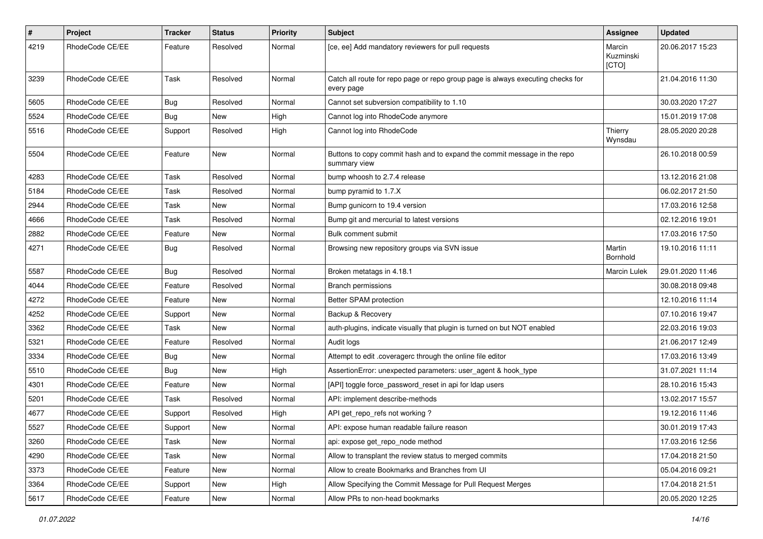| $\pmb{\#}$ | Project         | <b>Tracker</b> | <b>Status</b> | <b>Priority</b> | Subject                                                                                       | Assignee                     | <b>Updated</b>   |
|------------|-----------------|----------------|---------------|-----------------|-----------------------------------------------------------------------------------------------|------------------------------|------------------|
| 4219       | RhodeCode CE/EE | Feature        | Resolved      | Normal          | [ce, ee] Add mandatory reviewers for pull requests                                            | Marcin<br>Kuzminski<br>[CTO] | 20.06.2017 15:23 |
| 3239       | RhodeCode CE/EE | Task           | Resolved      | Normal          | Catch all route for repo page or repo group page is always executing checks for<br>every page |                              | 21.04.2016 11:30 |
| 5605       | RhodeCode CE/EE | <b>Bug</b>     | Resolved      | Normal          | Cannot set subversion compatibility to 1.10                                                   |                              | 30.03.2020 17:27 |
| 5524       | RhodeCode CE/EE | <b>Bug</b>     | New           | High            | Cannot log into RhodeCode anymore                                                             |                              | 15.01.2019 17:08 |
| 5516       | RhodeCode CE/EE | Support        | Resolved      | High            | Cannot log into RhodeCode                                                                     | Thierry<br>Wynsdau           | 28.05.2020 20:28 |
| 5504       | RhodeCode CE/EE | Feature        | New           | Normal          | Buttons to copy commit hash and to expand the commit message in the repo<br>summary view      |                              | 26.10.2018 00:59 |
| 4283       | RhodeCode CE/EE | Task           | Resolved      | Normal          | bump whoosh to 2.7.4 release                                                                  |                              | 13.12.2016 21:08 |
| 5184       | RhodeCode CE/EE | Task           | Resolved      | Normal          | bump pyramid to 1.7.X                                                                         |                              | 06.02.2017 21:50 |
| 2944       | RhodeCode CE/EE | Task           | New           | Normal          | Bump gunicorn to 19.4 version                                                                 |                              | 17.03.2016 12:58 |
| 4666       | RhodeCode CE/EE | Task           | Resolved      | Normal          | Bump git and mercurial to latest versions                                                     |                              | 02.12.2016 19:01 |
| 2882       | RhodeCode CE/EE | Feature        | <b>New</b>    | Normal          | Bulk comment submit                                                                           |                              | 17.03.2016 17:50 |
| 4271       | RhodeCode CE/EE | <b>Bug</b>     | Resolved      | Normal          | Browsing new repository groups via SVN issue                                                  | Martin<br><b>Bornhold</b>    | 19.10.2016 11:11 |
| 5587       | RhodeCode CE/EE | Bug            | Resolved      | Normal          | Broken metatags in 4.18.1                                                                     | Marcin Lulek                 | 29.01.2020 11:46 |
| 4044       | RhodeCode CE/EE | Feature        | Resolved      | Normal          | <b>Branch permissions</b>                                                                     |                              | 30.08.2018 09:48 |
| 4272       | RhodeCode CE/EE | Feature        | <b>New</b>    | Normal          | Better SPAM protection                                                                        |                              | 12.10.2016 11:14 |
| 4252       | RhodeCode CE/EE | Support        | New           | Normal          | Backup & Recovery                                                                             |                              | 07.10.2016 19:47 |
| 3362       | RhodeCode CE/EE | Task           | <b>New</b>    | Normal          | auth-plugins, indicate visually that plugin is turned on but NOT enabled                      |                              | 22.03.2016 19:03 |
| 5321       | RhodeCode CE/EE | Feature        | Resolved      | Normal          | Audit logs                                                                                    |                              | 21.06.2017 12:49 |
| 3334       | RhodeCode CE/EE | <b>Bug</b>     | New           | Normal          | Attempt to edit .coveragerc through the online file editor                                    |                              | 17.03.2016 13:49 |
| 5510       | RhodeCode CE/EE | <b>Bug</b>     | <b>New</b>    | High            | AssertionError: unexpected parameters: user_agent & hook_type                                 |                              | 31.07.2021 11:14 |
| 4301       | RhodeCode CE/EE | Feature        | <b>New</b>    | Normal          | [API] toggle force_password_reset in api for Idap users                                       |                              | 28.10.2016 15:43 |
| 5201       | RhodeCode CE/EE | Task           | Resolved      | Normal          | API: implement describe-methods                                                               |                              | 13.02.2017 15:57 |
| 4677       | RhodeCode CE/EE | Support        | Resolved      | High            | API get_repo_refs not working?                                                                |                              | 19.12.2016 11:46 |
| 5527       | RhodeCode CE/EE | Support        | New           | Normal          | API: expose human readable failure reason                                                     |                              | 30.01.2019 17:43 |
| 3260       | RhodeCode CE/EE | Task           | New           | Normal          | api: expose get repo node method                                                              |                              | 17.03.2016 12:56 |
| 4290       | RhodeCode CE/EE | Task           | New           | Normal          | Allow to transplant the review status to merged commits                                       |                              | 17.04.2018 21:50 |
| 3373       | RhodeCode CE/EE | Feature        | New           | Normal          | Allow to create Bookmarks and Branches from UI                                                |                              | 05.04.2016 09:21 |
| 3364       | RhodeCode CE/EE | Support        | New           | High            | Allow Specifying the Commit Message for Pull Request Merges                                   |                              | 17.04.2018 21:51 |
| 5617       | RhodeCode CE/EE | Feature        | New           | Normal          | Allow PRs to non-head bookmarks                                                               |                              | 20.05.2020 12:25 |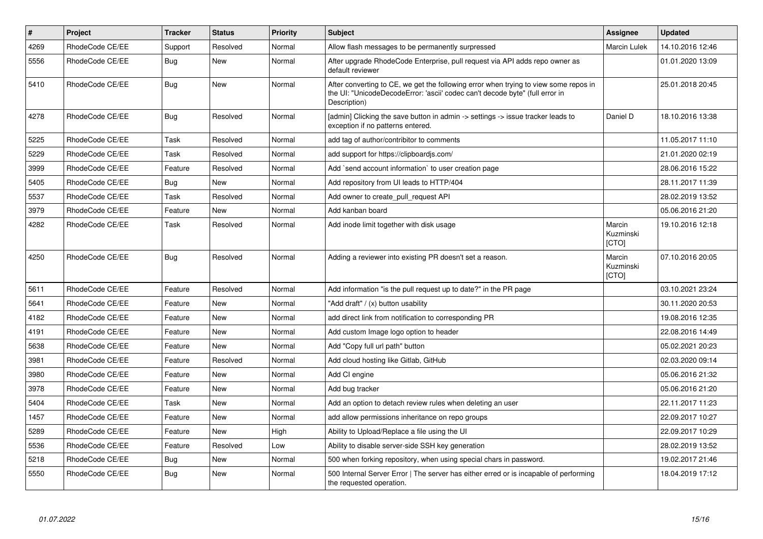| $\vert$ # | Project         | <b>Tracker</b> | <b>Status</b> | <b>Priority</b> | <b>Subject</b>                                                                                                                                                                       | Assignee                     | <b>Updated</b>   |
|-----------|-----------------|----------------|---------------|-----------------|--------------------------------------------------------------------------------------------------------------------------------------------------------------------------------------|------------------------------|------------------|
| 4269      | RhodeCode CE/EE | Support        | Resolved      | Normal          | Allow flash messages to be permanently surpressed                                                                                                                                    | <b>Marcin Lulek</b>          | 14.10.2016 12:46 |
| 5556      | RhodeCode CE/EE | Bug            | <b>New</b>    | Normal          | After upgrade RhodeCode Enterprise, pull request via API adds repo owner as<br>default reviewer                                                                                      |                              | 01.01.2020 13:09 |
| 5410      | RhodeCode CE/EE | Bug            | <b>New</b>    | Normal          | After converting to CE, we get the following error when trying to view some repos in<br>the UI: "UnicodeDecodeError: 'ascii' codec can't decode byte" (full error in<br>Description) |                              | 25.01.2018 20:45 |
| 4278      | RhodeCode CE/EE | Bug            | Resolved      | Normal          | [admin] Clicking the save button in admin -> settings -> issue tracker leads to<br>exception if no patterns entered.                                                                 | Daniel D                     | 18.10.2016 13:38 |
| 5225      | RhodeCode CE/EE | Task           | Resolved      | Normal          | add tag of author/contribitor to comments                                                                                                                                            |                              | 11.05.2017 11:10 |
| 5229      | RhodeCode CE/EE | Task           | Resolved      | Normal          | add support for https://clipboardjs.com/                                                                                                                                             |                              | 21.01.2020 02:19 |
| 3999      | RhodeCode CE/EE | Feature        | Resolved      | Normal          | Add `send account information` to user creation page                                                                                                                                 |                              | 28.06.2016 15:22 |
| 5405      | RhodeCode CE/EE | Bug            | New           | Normal          | Add repository from UI leads to HTTP/404                                                                                                                                             |                              | 28.11.2017 11:39 |
| 5537      | RhodeCode CE/EE | Task           | Resolved      | Normal          | Add owner to create_pull_request API                                                                                                                                                 |                              | 28.02.2019 13:52 |
| 3979      | RhodeCode CE/EE | Feature        | <b>New</b>    | Normal          | Add kanban board                                                                                                                                                                     |                              | 05.06.2016 21:20 |
| 4282      | RhodeCode CE/EE | Task           | Resolved      | Normal          | Add inode limit together with disk usage                                                                                                                                             | Marcin<br>Kuzminski<br>[CTO] | 19.10.2016 12:18 |
| 4250      | RhodeCode CE/EE | Bug            | Resolved      | Normal          | Adding a reviewer into existing PR doesn't set a reason.                                                                                                                             | Marcin<br>Kuzminski<br>[CTO] | 07.10.2016 20:05 |
| 5611      | RhodeCode CE/EE | Feature        | Resolved      | Normal          | Add information "is the pull request up to date?" in the PR page                                                                                                                     |                              | 03.10.2021 23:24 |
| 5641      | RhodeCode CE/EE | Feature        | <b>New</b>    | Normal          | "Add draft" / (x) button usability                                                                                                                                                   |                              | 30.11.2020 20:53 |
| 4182      | RhodeCode CE/EE | Feature        | New           | Normal          | add direct link from notification to corresponding PR                                                                                                                                |                              | 19.08.2016 12:35 |
| 4191      | RhodeCode CE/EE | Feature        | New           | Normal          | Add custom Image logo option to header                                                                                                                                               |                              | 22.08.2016 14:49 |
| 5638      | RhodeCode CE/EE | Feature        | <b>New</b>    | Normal          | Add "Copy full url path" button                                                                                                                                                      |                              | 05.02.2021 20:23 |
| 3981      | RhodeCode CE/EE | Feature        | Resolved      | Normal          | Add cloud hosting like Gitlab, GitHub                                                                                                                                                |                              | 02.03.2020 09:14 |
| 3980      | RhodeCode CE/EE | Feature        | <b>New</b>    | Normal          | Add CI engine                                                                                                                                                                        |                              | 05.06.2016 21:32 |
| 3978      | RhodeCode CE/EE | Feature        | <b>New</b>    | Normal          | Add bug tracker                                                                                                                                                                      |                              | 05.06.2016 21:20 |
| 5404      | RhodeCode CE/EE | Task           | <b>New</b>    | Normal          | Add an option to detach review rules when deleting an user                                                                                                                           |                              | 22.11.2017 11:23 |
| 1457      | RhodeCode CE/EE | Feature        | <b>New</b>    | Normal          | add allow permissions inheritance on repo groups                                                                                                                                     |                              | 22.09.2017 10:27 |
| 5289      | RhodeCode CE/EE | Feature        | <b>New</b>    | High            | Ability to Upload/Replace a file using the UI                                                                                                                                        |                              | 22.09.2017 10:29 |
| 5536      | RhodeCode CE/EE | Feature        | Resolved      | Low             | Ability to disable server-side SSH key generation                                                                                                                                    |                              | 28.02.2019 13:52 |
| 5218      | RhodeCode CE/EE | Bug            | New           | Normal          | 500 when forking repository, when using special chars in password.                                                                                                                   |                              | 19.02.2017 21:46 |
| 5550      | RhodeCode CE/EE | Bug            | New           | Normal          | 500 Internal Server Error   The server has either erred or is incapable of performing<br>the requested operation.                                                                    |                              | 18.04.2019 17:12 |